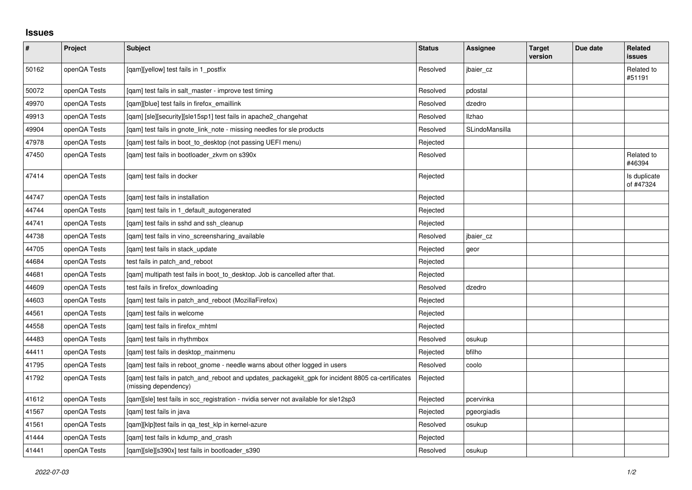## **Issues**

| $\vert$ # | Project      | <b>Subject</b>                                                                                                            | <b>Status</b> | Assignee       | <b>Target</b><br>version | Due date | Related<br><b>issues</b>  |
|-----------|--------------|---------------------------------------------------------------------------------------------------------------------------|---------------|----------------|--------------------------|----------|---------------------------|
| 50162     | openQA Tests | [qam][yellow] test fails in 1_postfix                                                                                     | Resolved      | jbaier_cz      |                          |          | Related to<br>#51191      |
| 50072     | openQA Tests | [qam] test fails in salt_master - improve test timing                                                                     | Resolved      | pdostal        |                          |          |                           |
| 49970     | openQA Tests | [gam][blue] test fails in firefox emaillink                                                                               | Resolved      | dzedro         |                          |          |                           |
| 49913     | openQA Tests | [qam] [sle][security][sle15sp1] test fails in apache2_changehat                                                           | Resolved      | <b>Ilzhao</b>  |                          |          |                           |
| 49904     | openQA Tests | [qam] test fails in gnote_link_note - missing needles for sle products                                                    | Resolved      | SLindoMansilla |                          |          |                           |
| 47978     | openQA Tests | [qam] test fails in boot_to_desktop (not passing UEFI menu)                                                               | Rejected      |                |                          |          |                           |
| 47450     | openQA Tests | [gam] test fails in bootloader zkvm on s390x                                                                              | Resolved      |                |                          |          | Related to<br>#46394      |
| 47414     | openQA Tests | [qam] test fails in docker                                                                                                | Rejected      |                |                          |          | Is duplicate<br>of #47324 |
| 44747     | openQA Tests | [qam] test fails in installation                                                                                          | Rejected      |                |                          |          |                           |
| 44744     | openQA Tests | [gam] test fails in 1 default autogenerated                                                                               | Rejected      |                |                          |          |                           |
| 44741     | openQA Tests | [qam] test fails in sshd and ssh_cleanup                                                                                  | Rejected      |                |                          |          |                           |
| 44738     | openQA Tests | [gam] test fails in vino screensharing available                                                                          | Resolved      | jbaier cz      |                          |          |                           |
| 44705     | openQA Tests | [gam] test fails in stack update                                                                                          | Rejected      | geor           |                          |          |                           |
| 44684     | openQA Tests | test fails in patch and reboot                                                                                            | Rejected      |                |                          |          |                           |
| 44681     | openQA Tests | [gam] multipath test fails in boot_to_desktop. Job is cancelled after that.                                               | Rejected      |                |                          |          |                           |
| 44609     | openQA Tests | test fails in firefox downloading                                                                                         | Resolved      | dzedro         |                          |          |                           |
| 44603     | openQA Tests | [gam] test fails in patch and reboot (MozillaFirefox)                                                                     | Rejected      |                |                          |          |                           |
| 44561     | openQA Tests | [gam] test fails in welcome                                                                                               | Rejected      |                |                          |          |                           |
| 44558     | openQA Tests | [qam] test fails in firefox_mhtml                                                                                         | Rejected      |                |                          |          |                           |
| 44483     | openQA Tests | [gam] test fails in rhythmbox                                                                                             | Resolved      | osukup         |                          |          |                           |
| 44411     | openQA Tests | [qam] test fails in desktop_mainmenu                                                                                      | Rejected      | bfilho         |                          |          |                           |
| 41795     | openQA Tests | [gam] test fails in reboot gnome - needle warns about other logged in users                                               | Resolved      | coolo          |                          |          |                           |
| 41792     | openQA Tests | [qam] test fails in patch_and_reboot and updates_packagekit_gpk for incident 8805 ca-certificates<br>(missing dependency) | Rejected      |                |                          |          |                           |
| 41612     | openQA Tests | [qam][sle] test fails in scc_registration - nvidia server not available for sle12sp3                                      | Rejected      | pcervinka      |                          |          |                           |
| 41567     | openQA Tests | [gam] test fails in java                                                                                                  | Rejected      | pgeorgiadis    |                          |          |                           |
| 41561     | openQA Tests | [qam][klp]test fails in qa_test_klp in kernel-azure                                                                       | Resolved      | osukup         |                          |          |                           |
| 41444     | openQA Tests | [qam] test fails in kdump_and_crash                                                                                       | Rejected      |                |                          |          |                           |
| 41441     | openQA Tests | [qam][sle][s390x] test fails in bootloader_s390                                                                           | Resolved      | osukup         |                          |          |                           |